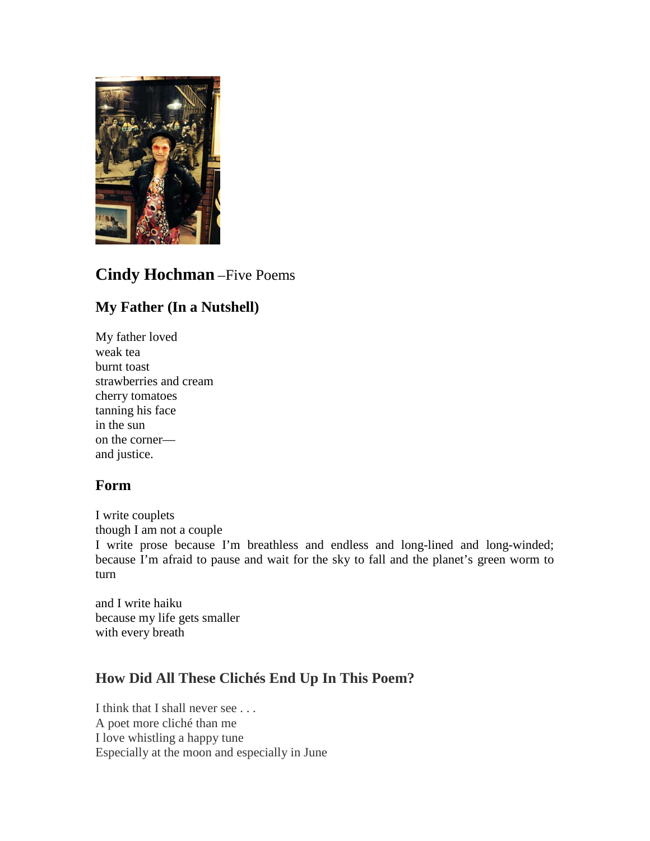

# **Cindy Hochman** –Five Poems

## **My Father (In a Nutshell)**

My father loved weak tea burnt toast strawberries and cream cherry tomatoes tanning his face in the sun on the corner and justice.

## **Form**

I write couplets though I am not a couple I write prose because I'm breathless and endless and long-lined and long-winded; because I'm afraid to pause and wait for the sky to fall and the planet's green worm to turn

and I write haiku because my life gets smaller with every breath

## **How Did All These Clichés End Up In This Poem?**

I think that I shall never see . . . A poet more cliché than me I love whistling a happy tune Especially at the moon and especially in June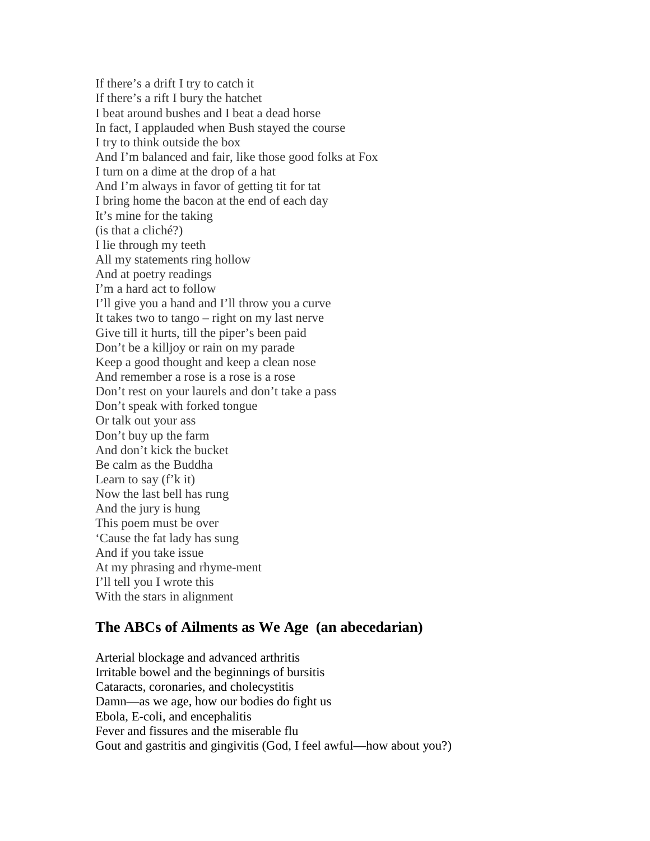If there's a drift I try to catch it If there's a rift I bury the hatchet I beat around bushes and I beat a dead horse In fact, I applauded when Bush stayed the course I try to think outside the box And I'm balanced and fair, like those good folks at Fox I turn on a dime at the drop of a hat And I'm always in favor of getting tit for tat I bring home the bacon at the end of each day It's mine for the taking (is that a cliché?) I lie through my teeth All my statements ring hollow And at poetry readings I'm a hard act to follow I'll give you a hand and I'll throw you a curve It takes two to tango – right on my last nerve Give till it hurts, till the piper's been paid Don't be a killjoy or rain on my parade Keep a good thought and keep a clean nose And remember a rose is a rose is a rose Don't rest on your laurels and don't take a pass Don't speak with forked tongue Or talk out your ass Don't buy up the farm And don't kick the bucket Be calm as the Buddha Learn to say  $(f'k it)$ Now the last bell has rung And the jury is hung This poem must be over 'Cause the fat lady has sung And if you take issue At my phrasing and rhyme-ment I'll tell you I wrote this With the stars in alignment

#### **The ABCs of Ailments as We Age (an abecedarian)**

Arterial blockage and advanced arthritis Irritable bowel and the beginnings of bursitis Cataracts, coronaries, and cholecystitis Damn—as we age, how our bodies do fight us Ebola, E-coli, and encephalitis Fever and fissures and the miserable flu Gout and gastritis and gingivitis (God, I feel awful—how about you?)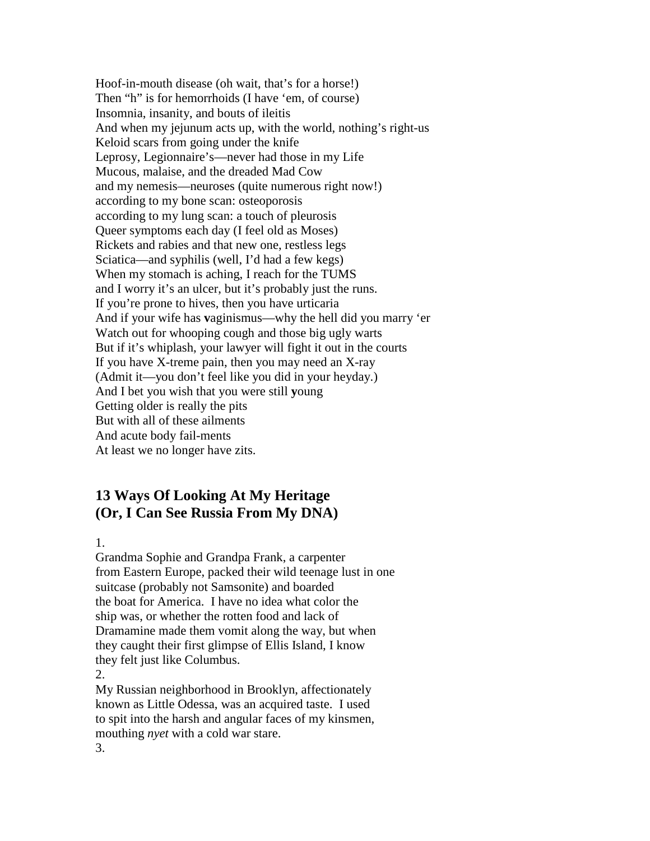Hoof-in-mouth disease (oh wait, that's for a horse!) Then "h" is for hemorrhoids (I have 'em, of course) Insomnia, insanity, and bouts of ileitis And when my jejunum acts up, with the world, nothing's right-us Keloid scars from going under the knife Leprosy, Legionnaire's—never had those in my Life Mucous, malaise, and the dreaded Mad Cow and my nemesis—neuroses (quite numerous right now!) according to my bone scan: osteoporosis according to my lung scan: a touch of pleurosis Queer symptoms each day (I feel old as Moses) Rickets and rabies and that new one, restless legs Sciatica—and syphilis (well, I'd had a few kegs) When my stomach is aching, I reach for the TUMS and I worry it's an ulcer, but it's probably just the runs. If you're prone to hives, then you have urticaria And if your wife has **v**aginismus—why the hell did you marry 'er Watch out for whooping cough and those big ugly warts But if it's whiplash, your lawyer will fight it out in the courts If you have X-treme pain, then you may need an X-ray (Admit it—you don't feel like you did in your heyday.) And I bet you wish that you were still **y**oung Getting older is really the pits But with all of these ailments And acute body fail-ments At least we no longer have zits.

### **13 Ways Of Looking At My Heritage (Or, I Can See Russia From My DNA)**

1.

Grandma Sophie and Grandpa Frank, a carpenter from Eastern Europe, packed their wild teenage lust in one suitcase (probably not Samsonite) and boarded the boat for America. I have no idea what color the ship was, or whether the rotten food and lack of Dramamine made them vomit along the way, but when they caught their first glimpse of Ellis Island, I know they felt just like Columbus. 2.

My Russian neighborhood in Brooklyn, affectionately known as Little Odessa, was an acquired taste. I used to spit into the harsh and angular faces of my kinsmen, mouthing *nyet* with a cold war stare. 3.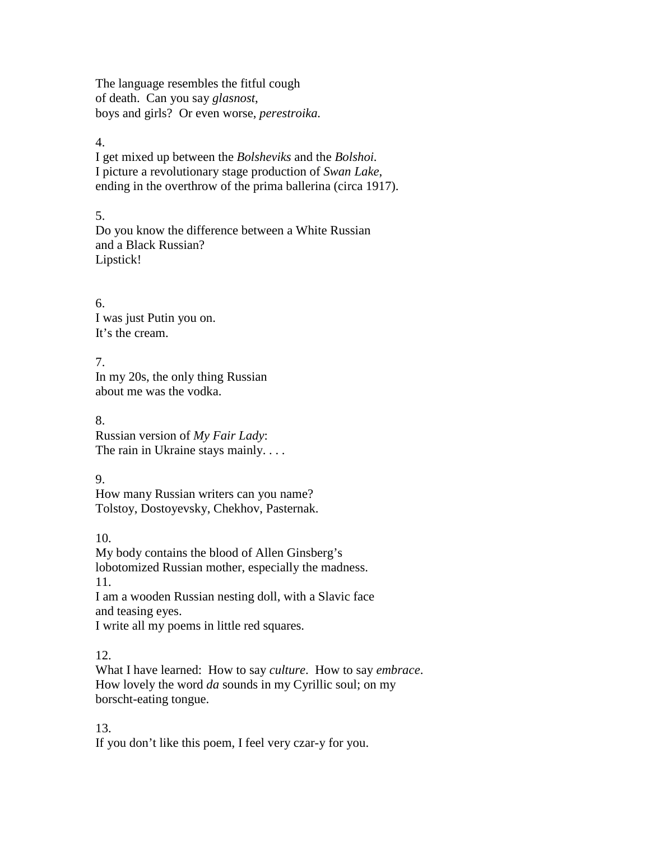The language resembles the fitful cough of death. Can you say *glasnost*, boys and girls? Or even worse, *perestroika.*

#### 4.

I get mixed up between the *Bolsheviks* and the *Bolshoi.* I picture a revolutionary stage production of *Swan Lake*, ending in the overthrow of the prima ballerina (circa 1917).

### 5.

Do you know the difference between a White Russian and a Black Russian? Lipstick!

6. I was just Putin you on. It's the cream.

7. In my 20s, the only thing Russian about me was the vodka.

8. Russian version of *My Fair Lady*: The rain in Ukraine stays mainly. . . .

9.

How many Russian writers can you name? Tolstoy, Dostoyevsky, Chekhov, Pasternak.

10.

My body contains the blood of Allen Ginsberg's lobotomized Russian mother, especially the madness. 11. I am a wooden Russian nesting doll, with a Slavic face and teasing eyes. I write all my poems in little red squares.

12.

What I have learned: How to say *culture*. How to say *embrace*. How lovely the word *da* sounds in my Cyrillic soul; on my borscht-eating tongue.

13. If you don't like this poem, I feel very czar-y for you.